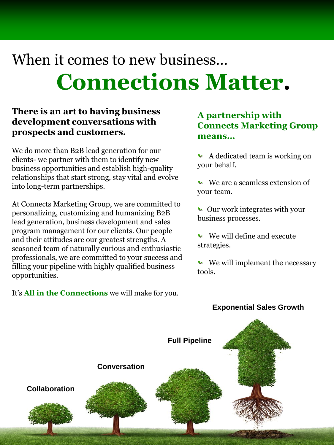# When it comes to new business… **Connections Matter.**

### **There is an art to having business development conversations with prospects and customers.**

We do more than B2B lead generation for our clients- we partner with them to identify new business opportunities and establish high-quality relationships that start strong, stay vital and evolve into long-term partnerships.

At Connects Marketing Group, we are committed to personalizing, customizing and humanizing B2B lead generation, business development and sales program management for our clients. Our people and their attitudes are our greatest strengths. A seasoned team of naturally curious and enthusiastic professionals, we are committed to your success and filling your pipeline with highly qualified business opportunities.

It's **All in the Connections** we will make for you.

#### **A partnership with Connects Marketing Group means…**

- $\blacktriangleright$  A dedicated team is working on your behalf.
- $\blacktriangleright$  We are a seamless extension of your team.
- $\blacktriangleright$  Our work integrates with your business processes.
- $\blacktriangleright$  We will define and execute strategies.
- $\blacktriangleright$  We will implement the necessary tools.

#### **Exponential Sales Growth**